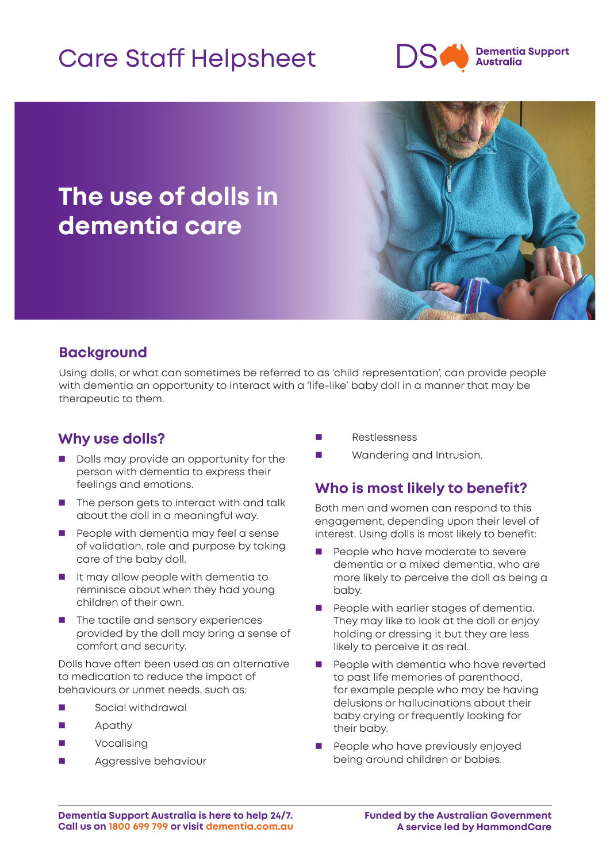# Care Staff Helpsheet



### **The use of dolls in dementia care**



### **Background**

Using dolls, or what can sometimes be referred to as 'child representation', can provide people with dementia an opportunity to interact with a 'life-like' baby doll in a manner that may be therapeutic to them.

#### **Why use dolls?**

- Dolls may provide an opportunity for the person with dementia to express their feelings and emotions.
- $\blacksquare$  The person gets to interact with and talk about the doll in a meaningful way.
- **People with dementia may feel a sense** of validation, role and purpose by taking care of the baby doll.
- $\blacksquare$  It may allow people with dementia to reminisce about when they had young children of their own.
- $\blacksquare$  The tactile and sensory experiences provided by the doll may bring a sense of comfort and security.

Dolls have often been used as an alternative to medication to reduce the impact of behaviours or unmet needs, such as:

- Social withdrawal
- Apathy
- Vocalising
- Aggressive behaviour
- Restlessness
- **Nandering and Intrusion.**

#### **Who is most likely to benefit?**

Both men and women can respond to this engagement, depending upon their level of interest. Using dolls is most likely to benefit:

- People who have moderate to severe dementia or a mixed dementia, who are more likely to perceive the doll as being a baby.
- **People with earlier stages of dementia.** They may like to look at the doll or enjoy holding or dressing it but they are less likely to perceive it as real.
- People with dementia who have reverted to past life memories of parenthood, for example people who may be having delusions or hallucinations about their baby crying or frequently looking for their baby.
- **People who have previously enjoyed** being around children or babies.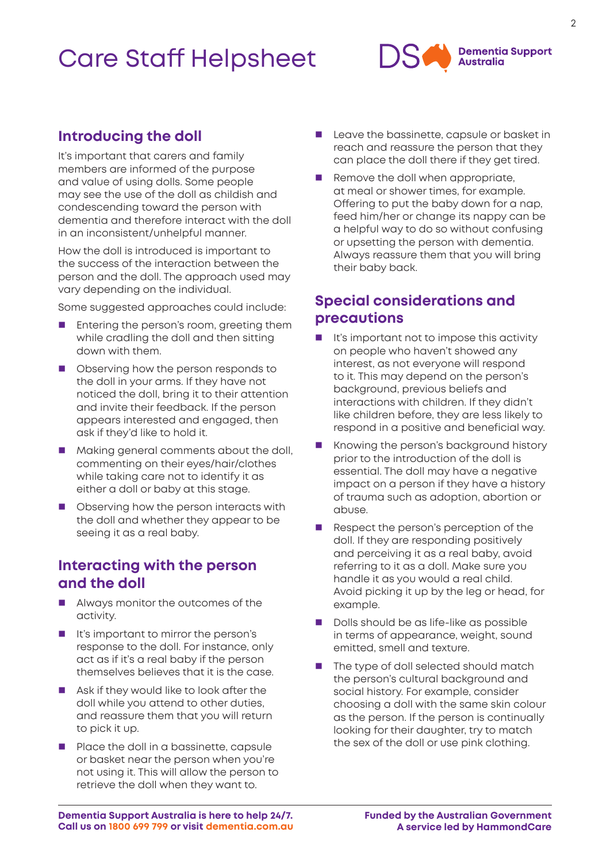## Care Staff Helpsheet



#### **Introducing the doll**

It's important that carers and family members are informed of the purpose and value of using dolls. Some people may see the use of the doll as childish and condescending toward the person with dementia and therefore interact with the doll in an inconsistent/unhelpful manner.

How the doll is introduced is important to the success of the interaction between the person and the doll. The approach used may vary depending on the individual.

Some suggested approaches could include:

- Entering the person's room, greeting them while cradling the doll and then sitting down with them.
- **Demon Depart Observing how the person responds to** the doll in your arms. If they have not noticed the doll, bring it to their attention and invite their feedback. If the person appears interested and engaged, then ask if they'd like to hold it.
- **Making general comments about the doll,** commenting on their eyes/hair/clothes while taking care not to identify it as either a doll or baby at this stage.
- **Deparation** Observing how the person interacts with the doll and whether they appear to be seeing it as a real baby.

#### **Interacting with the person and the doll**

- **Always monitor the outcomes of the** activity.
- It's important to mirror the person's response to the doll. For instance, only act as if it's a real baby if the person themselves believes that it is the case.
- Ask if they would like to look after the doll while you attend to other duties, and reassure them that you will return to pick it up.
- **Place the doll in a bassinette, capsule** or basket near the person when you're not using it. This will allow the person to retrieve the doll when they want to.
- Leave the bassinette, capsule or basket in reach and reassure the person that they can place the doll there if they get tired.
- Remove the doll when appropriate, at meal or shower times, for example. Offering to put the baby down for a nap, feed him/her or change its nappy can be a helpful way to do so without confusing or upsetting the person with dementia. Always reassure them that you will bring their baby back.

#### **Special considerations and precautions**

- $\blacksquare$  It's important not to impose this activity on people who haven't showed any interest, as not everyone will respond to it. This may depend on the person's background, previous beliefs and interactions with children. If they didn't like children before, they are less likely to respond in a positive and beneficial way.
- Knowing the person's background history prior to the introduction of the doll is essential. The doll may have a negative impact on a person if they have a history of trauma such as adoption, abortion or abuse.
- Respect the person's perception of the doll. If they are responding positively and perceiving it as a real baby, avoid referring to it as a doll. Make sure you handle it as you would a real child. Avoid picking it up by the leg or head, for example.
- Dolls should be as life-like as possible in terms of appearance, weight, sound emitted, smell and texture.
- The type of doll selected should match the person's cultural background and social history. For example, consider choosing a doll with the same skin colour as the person. If the person is continually looking for their daughter, try to match the sex of the doll or use pink clothing.